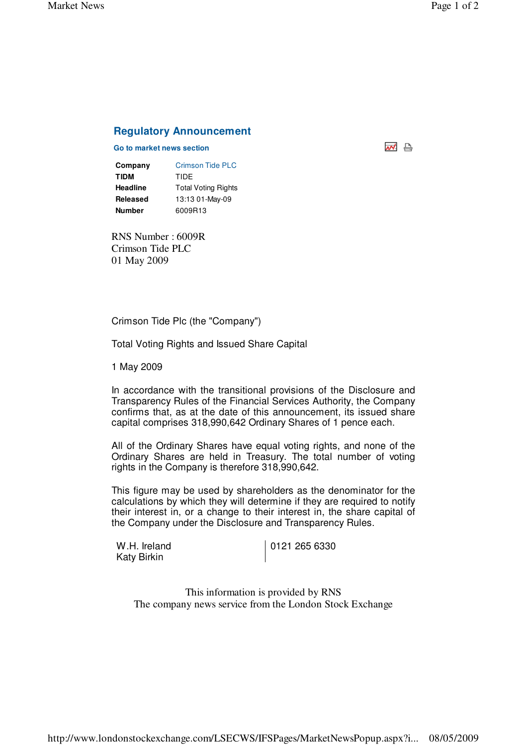써 습

## **Regulatory Announcement**

## **Go to market news section**

| Company  | <b>Crimson Tide PLC</b>    |
|----------|----------------------------|
| TIDM     | TIDE                       |
| Headline | <b>Total Voting Rights</b> |
| Released | 13:13 01-May-09            |
| Number   | 6009R13                    |

RNS Number : 6009R Crimson Tide PLC 01 May 2009

Crimson Tide Plc (the "Company")

Total Voting Rights and Issued Share Capital

1 May 2009

In accordance with the transitional provisions of the Disclosure and Transparency Rules of the Financial Services Authority, the Company confirms that, as at the date of this announcement, its issued share capital comprises 318,990,642 Ordinary Shares of 1 pence each.

All of the Ordinary Shares have equal voting rights, and none of the Ordinary Shares are held in Treasury. The total number of voting rights in the Company is therefore 318,990,642.

This figure may be used by shareholders as the denominator for the calculations by which they will determine if they are required to notify their interest in, or a change to their interest in, the share capital of the Company under the Disclosure and Transparency Rules.

W.H. Ireland Katy Birkin

0121 265 6330

This information is provided by RNS The company news service from the London Stock Exchange